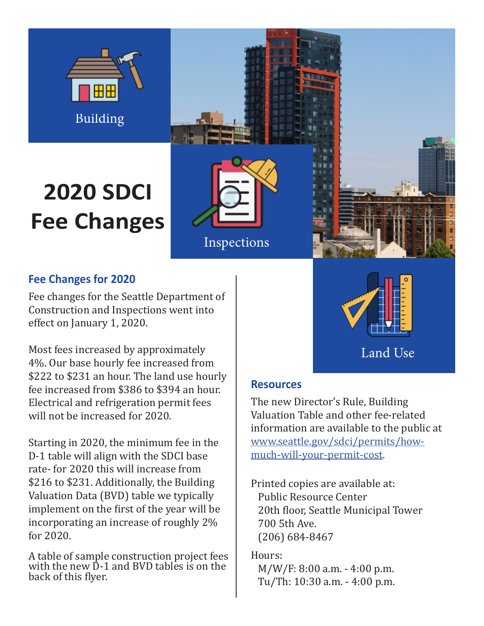

# **2020 SDCI Fee Changes**





Land Use

## **Fee Changes for 2020**

Fee changes for the Seattle Department of Construction and Inspections went into effect on January 1, 2020.

Most fees increased by approximately 4%. Our base hourly fee increased from \$222 to \$231 an hour. The land use hourly fee increased from \$386 to \$394 an hour. Electrical and refrigeration permit fees will not be increased for 2020.

Starting in 2020, the minimum fee in the D-1 table will align with the SDCI base rate- for 2020 this will increase from \$216 to \$231. Additionally, the Building Valuation Data (BVD) table we typically implement on the first of the year will be incorporating an increase of roughly 2% for 2020.

A table of sample construction project fees with the new D-1 and BVD tables is on the back of this flyer.

**Resources**

The new Director's Rule, Building Valuation Table and other fee-related information are available to the public at [www.seattle.gov/sdci/permits/how](http://www.seattle.gov/sdci/permits/how-much-will-your-permit-cost)[much-will-your-permit-cost.](http://www.seattle.gov/sdci/permits/how-much-will-your-permit-cost)

Printed copies are available at: Public Resource Center 20th floor, Seattle Municipal Tower 700 5th Ave. (206) 684-8467

Hours: M/W/F: 8:00 a.m. - 4:00 p.m. Tu/Th: 10:30 a.m. - 4:00 p.m.